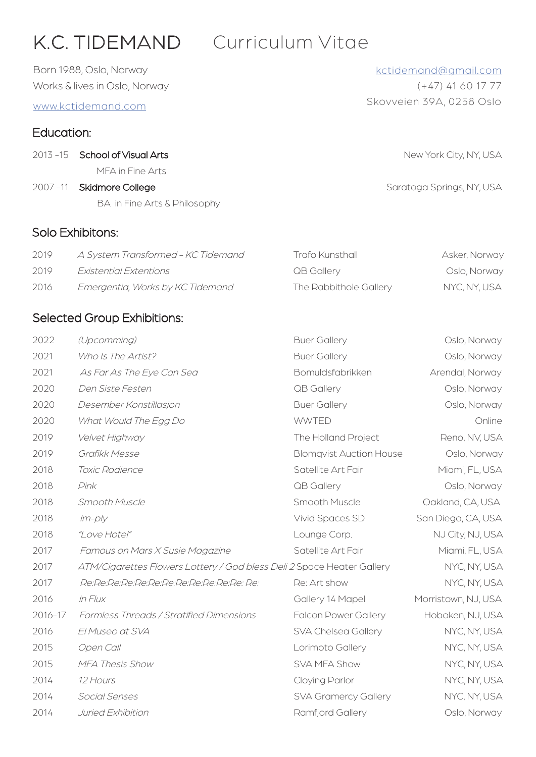# K.C. TIDEMAND Curriculum Vitae

Born 1988, Oslo, Norway Works & lives in Oslo, Norway

www.kctidemand.com

# Education:

- 2013 -15 School of Visual Arts 2013 -15 School of Visual Arts New York City, NY, USA MFA in Fine Arts
- 2007 -11 Skidmore College Saratoga Springs, NY, USA BA in Fine Arts & Philosophy

## Solo Exhibitons:

| 2019  | A System Transformed - KC Tidemand | Trafo Kunsthall        | Asker, Norway |
|-------|------------------------------------|------------------------|---------------|
| 2019  | <i>Existential Extentions</i>      | QB Gallery             | Oslo, Norway  |
| -2016 | Emergentia, Works by KC Tidemand   | The Rabbithole Gallery | NYC, NY, USA  |

# Selected Group Exhibitions:

| 2022    | (Upcomming)                                                            | <b>Buer Gallery</b>            | Oslo, Norway        |
|---------|------------------------------------------------------------------------|--------------------------------|---------------------|
| 2021    | Who Is The Artist?                                                     | <b>Buer Gallery</b>            | Oslo, Norway        |
| 2021    | As Far As The Eye Can Sea                                              | Bomuldsfabrikken               | Arendal, Norway     |
| 2020    | Den Siste Festen                                                       | QB Gallery                     | Oslo, Norway        |
| 2020    | Desember Konstillasjon                                                 | <b>Buer Gallery</b>            | Oslo, Norway        |
| 2020    | What Would The Egg Do                                                  | <b>WWTED</b>                   | Online              |
| 2019    | Velvet Highway                                                         | The Holland Project            | Reno, NV, USA       |
| 2019    | Grafikk Messe                                                          | <b>Blomqvist Auction House</b> | Oslo, Norway        |
| 2018    | Toxic Radience                                                         | Satellite Art Fair             | Miami, FL, USA      |
| 2018    | Pink                                                                   | QB Gallery                     | Oslo, Norway        |
| 2018    | Smooth Muscle                                                          | Smooth Muscle                  | Oakland, CA, USA    |
| 2018    | $lm-p/y$                                                               | Vivid Spaces SD                | San Diego, CA, USA  |
| 2018    | "Love Hotel"                                                           | Lounge Corp.                   | NJ City, NJ, USA    |
| 2017    | Famous on Mars X Susie Magazine                                        | Satellite Art Fair             | Miami, FL, USA      |
| 2017    | ATM/Cigarettes Flowers Lottery / God bless Deli 2 Space Heater Gallery |                                | NYC, NY, USA        |
| 2017    | Re:Re:Re:Re:Re:Re:Re:Re:Re:Re:Re:Re:Re:                                | Re: Art show                   | NYC, NY, USA        |
| 2016    | In Flux                                                                | Gallery 14 Mapel               | Morristown, NJ, USA |
| 2016-17 | Formless Threads / Stratified Dimensions                               | <b>Falcon Power Gallery</b>    | Hoboken, NJ, USA    |
| 2016    | El Museo at SVA                                                        | SVA Chelsea Gallery            | NYC, NY, USA        |
| 2015    | Open Call                                                              | Lorimoto Gallery               | NYC, NY, USA        |
| 2015    | MFA Thesis Show                                                        | SVA MFA Show                   | NYC, NY, USA        |
| 2014    | 12 Hours                                                               | Cloying Parlor                 | NYC, NY, USA        |
| 2014    | Social Senses                                                          | SVA Gramercy Gallery           | NYC, NY, USA        |
| 2014    | Juried Exhibition                                                      | Ramfjord Gallery               | Oslo, Norway        |

# kctidemand@gmail.com

Skovveien 39A, 0258 Oslo (+47) 41 60 17 77